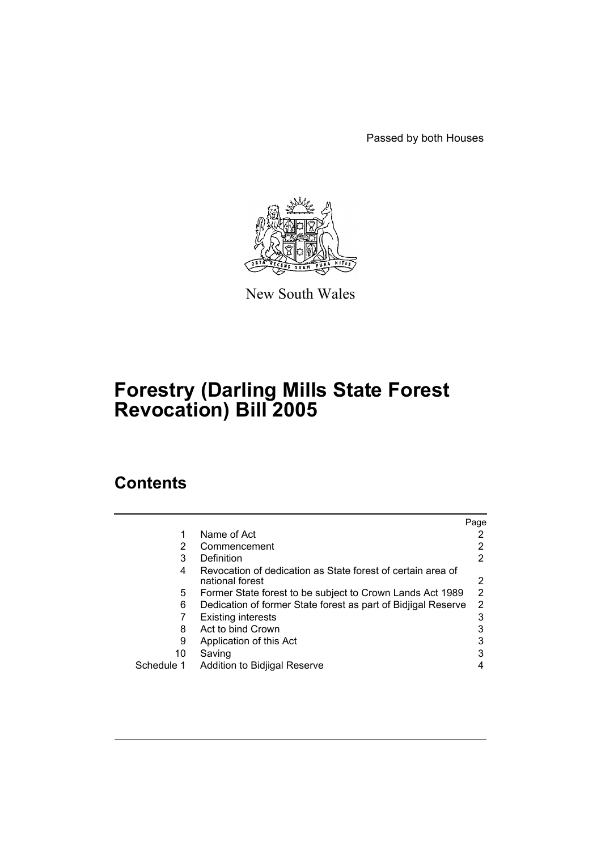Passed by both Houses



New South Wales

# **Forestry (Darling Mills State Forest Revocation) Bill 2005**

## **Contents**

|            |                                                                                | Page |
|------------|--------------------------------------------------------------------------------|------|
|            | Name of Act                                                                    | 2    |
| 2          | Commencement                                                                   | 2    |
| 3          | Definition                                                                     | 2    |
| 4          | Revocation of dedication as State forest of certain area of<br>national forest | 2    |
| 5          | Former State forest to be subject to Crown Lands Act 1989                      | 2    |
| 6          | Dedication of former State forest as part of Bidjigal Reserve                  | 2    |
|            | <b>Existing interests</b>                                                      | 3    |
| 8          | Act to bind Crown                                                              | 3    |
| 9          | Application of this Act                                                        | 3    |
| 10         | Saving                                                                         | 3    |
| Schedule 1 | Addition to Bidjigal Reserve                                                   | 4    |
|            |                                                                                |      |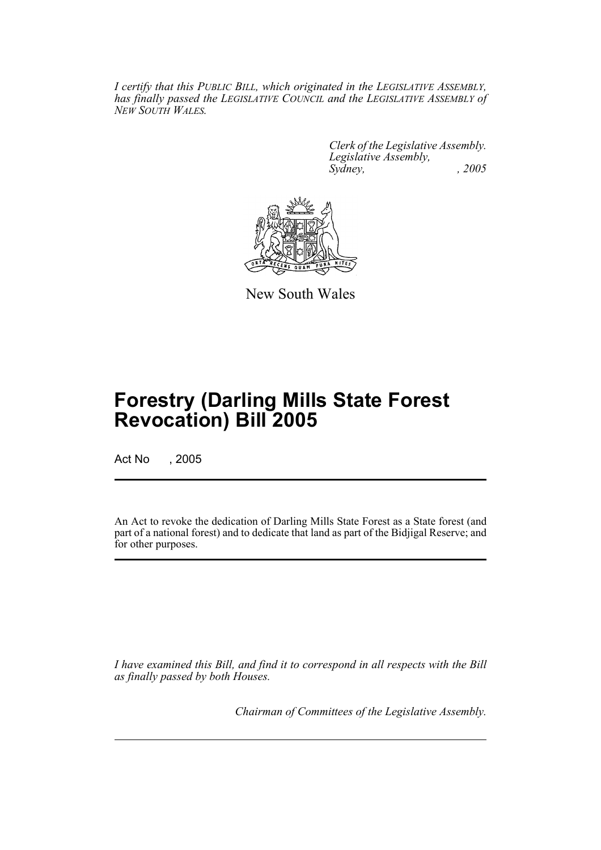*I certify that this PUBLIC BILL, which originated in the LEGISLATIVE ASSEMBLY, has finally passed the LEGISLATIVE COUNCIL and the LEGISLATIVE ASSEMBLY of NEW SOUTH WALES.*

> *Clerk of the Legislative Assembly. Legislative Assembly, Sydney, , 2005*



New South Wales

## **Forestry (Darling Mills State Forest Revocation) Bill 2005**

Act No , 2005

An Act to revoke the dedication of Darling Mills State Forest as a State forest (and part of a national forest) and to dedicate that land as part of the Bidjigal Reserve; and for other purposes.

*I have examined this Bill, and find it to correspond in all respects with the Bill as finally passed by both Houses.*

*Chairman of Committees of the Legislative Assembly.*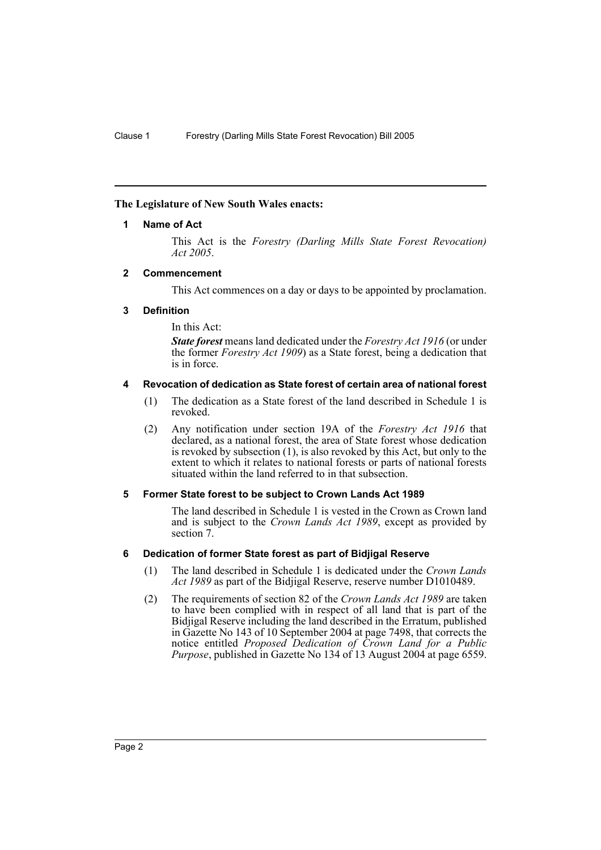#### **The Legislature of New South Wales enacts:**

#### **1 Name of Act**

This Act is the *Forestry (Darling Mills State Forest Revocation) Act 2005*.

#### **2 Commencement**

This Act commences on a day or days to be appointed by proclamation.

#### **3 Definition**

In this Act:

*State forest* means land dedicated under the *Forestry Act 1916* (or under the former *Forestry Act 1909*) as a State forest, being a dedication that is in force.

#### **4 Revocation of dedication as State forest of certain area of national forest**

- (1) The dedication as a State forest of the land described in Schedule 1 is revoked.
- (2) Any notification under section 19A of the *Forestry Act 1916* that declared, as a national forest, the area of State forest whose dedication is revoked by subsection (1), is also revoked by this Act, but only to the extent to which it relates to national forests or parts of national forests situated within the land referred to in that subsection.

### **5 Former State forest to be subject to Crown Lands Act 1989**

The land described in Schedule 1 is vested in the Crown as Crown land and is subject to the *Crown Lands Act 1989*, except as provided by section 7.

#### **6 Dedication of former State forest as part of Bidjigal Reserve**

- (1) The land described in Schedule 1 is dedicated under the *Crown Lands Act 1989* as part of the Bidjigal Reserve, reserve number D1010489.
- (2) The requirements of section 82 of the *Crown Lands Act 1989* are taken to have been complied with in respect of all land that is part of the Bidjigal Reserve including the land described in the Erratum, published in Gazette No 143 of 10 September 2004 at page 7498, that corrects the notice entitled *Proposed Dedication of Crown Land for a Public Purpose*, published in Gazette No 134 of 13 August 2004 at page 6559.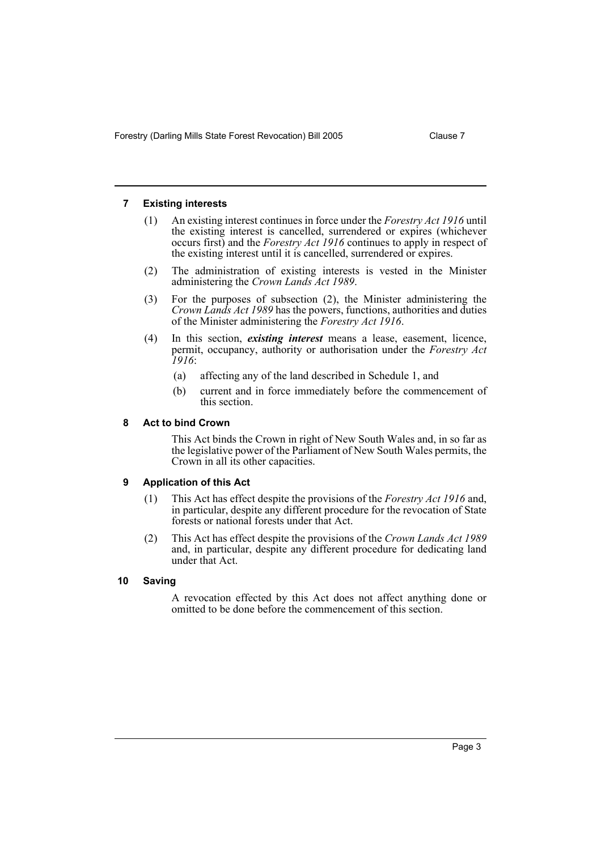#### **7 Existing interests**

- (1) An existing interest continues in force under the *Forestry Act 1916* until the existing interest is cancelled, surrendered or expires (whichever occurs first) and the *Forestry Act 1916* continues to apply in respect of the existing interest until it is cancelled, surrendered or expires.
- (2) The administration of existing interests is vested in the Minister administering the *Crown Lands Act 1989*.
- (3) For the purposes of subsection (2), the Minister administering the *Crown Lands Act 1989* has the powers, functions, authorities and duties of the Minister administering the *Forestry Act 1916*.
- (4) In this section, *existing interest* means a lease, easement, licence, permit, occupancy, authority or authorisation under the *Forestry Act 1916*:
	- (a) affecting any of the land described in Schedule 1, and
	- (b) current and in force immediately before the commencement of this section.

#### **8 Act to bind Crown**

This Act binds the Crown in right of New South Wales and, in so far as the legislative power of the Parliament of New South Wales permits, the Crown in all its other capacities.

#### **9 Application of this Act**

- (1) This Act has effect despite the provisions of the *Forestry Act 1916* and, in particular, despite any different procedure for the revocation of State forests or national forests under that Act.
- (2) This Act has effect despite the provisions of the *Crown Lands Act 1989* and, in particular, despite any different procedure for dedicating land under that Act.

#### **10 Saving**

A revocation effected by this Act does not affect anything done or omitted to be done before the commencement of this section.